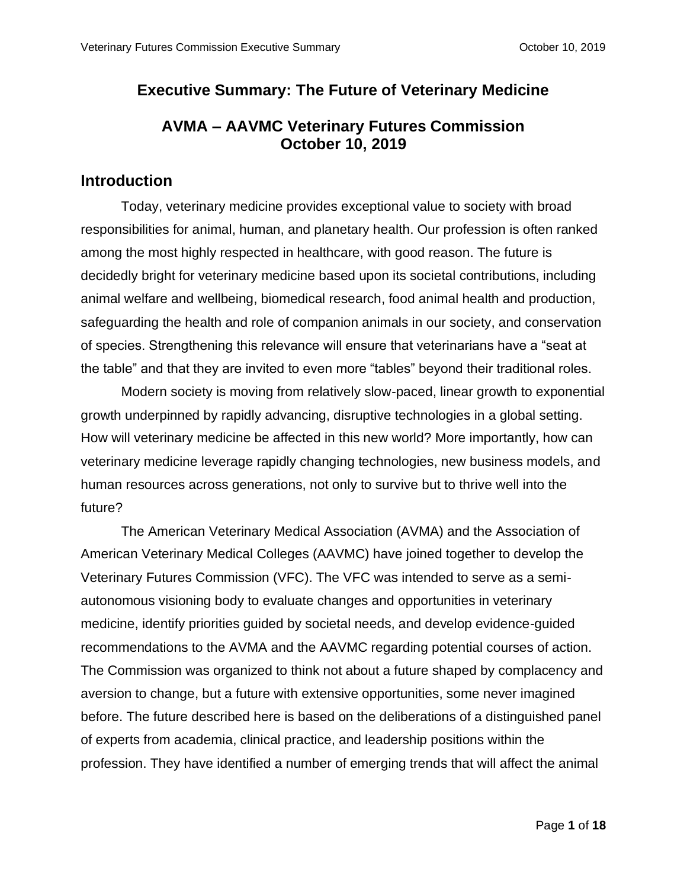# **Executive Summary: The Future of Veterinary Medicine**

# **AVMA – AAVMC Veterinary Futures Commission October 10, 2019**

## **Introduction**

Today, veterinary medicine provides exceptional value to society with broad responsibilities for animal, human, and planetary health. Our profession is often ranked among the most highly respected in healthcare, with good reason. The future is decidedly bright for veterinary medicine based upon its societal contributions, including animal welfare and wellbeing, biomedical research, food animal health and production, safeguarding the health and role of companion animals in our society, and conservation of species. Strengthening this relevance will ensure that veterinarians have a "seat at the table" and that they are invited to even more "tables" beyond their traditional roles.

Modern society is moving from relatively slow-paced, linear growth to exponential growth underpinned by rapidly advancing, disruptive technologies in a global setting. How will veterinary medicine be affected in this new world? More importantly, how can veterinary medicine leverage rapidly changing technologies, new business models, and human resources across generations, not only to survive but to thrive well into the future?

The American Veterinary Medical Association (AVMA) and the Association of American Veterinary Medical Colleges (AAVMC) have joined together to develop the Veterinary Futures Commission (VFC). The VFC was intended to serve as a semiautonomous visioning body to evaluate changes and opportunities in veterinary medicine, identify priorities guided by societal needs, and develop evidence-guided recommendations to the AVMA and the AAVMC regarding potential courses of action. The Commission was organized to think not about a future shaped by complacency and aversion to change, but a future with extensive opportunities, some never imagined before. The future described here is based on the deliberations of a distinguished panel of experts from academia, clinical practice, and leadership positions within the profession. They have identified a number of emerging trends that will affect the animal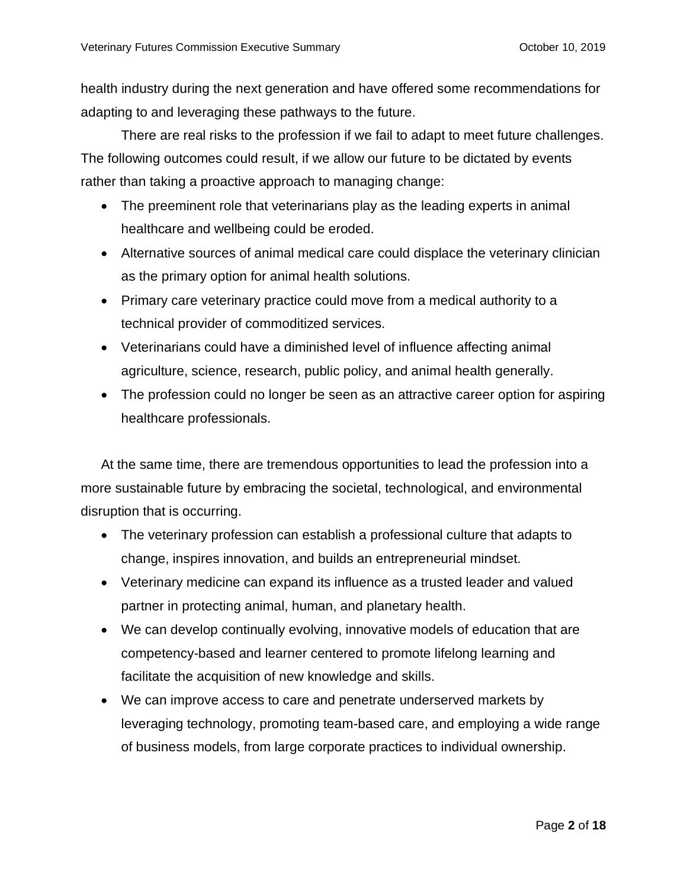health industry during the next generation and have offered some recommendations for adapting to and leveraging these pathways to the future.

There are real risks to the profession if we fail to adapt to meet future challenges. The following outcomes could result, if we allow our future to be dictated by events rather than taking a proactive approach to managing change:

- The preeminent role that veterinarians play as the leading experts in animal healthcare and wellbeing could be eroded.
- Alternative sources of animal medical care could displace the veterinary clinician as the primary option for animal health solutions.
- Primary care veterinary practice could move from a medical authority to a technical provider of commoditized services.
- Veterinarians could have a diminished level of influence affecting animal agriculture, science, research, public policy, and animal health generally.
- The profession could no longer be seen as an attractive career option for aspiring healthcare professionals.

At the same time, there are tremendous opportunities to lead the profession into a more sustainable future by embracing the societal, technological, and environmental disruption that is occurring.

- The veterinary profession can establish a professional culture that adapts to change, inspires innovation, and builds an entrepreneurial mindset.
- Veterinary medicine can expand its influence as a trusted leader and valued partner in protecting animal, human, and planetary health.
- We can develop continually evolving, innovative models of education that are competency-based and learner centered to promote lifelong learning and facilitate the acquisition of new knowledge and skills.
- We can improve access to care and penetrate underserved markets by leveraging technology, promoting team-based care, and employing a wide range of business models, from large corporate practices to individual ownership.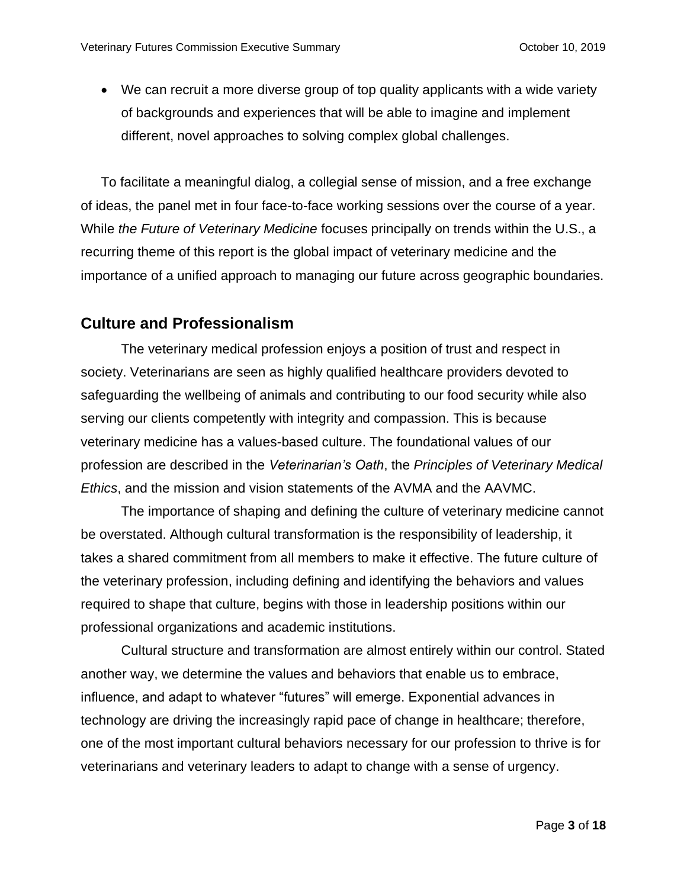• We can recruit a more diverse group of top quality applicants with a wide variety of backgrounds and experiences that will be able to imagine and implement different, novel approaches to solving complex global challenges.

To facilitate a meaningful dialog, a collegial sense of mission, and a free exchange of ideas, the panel met in four face-to-face working sessions over the course of a year. While *the Future of Veterinary Medicine* focuses principally on trends within the U.S., a recurring theme of this report is the global impact of veterinary medicine and the importance of a unified approach to managing our future across geographic boundaries.

# **Culture and Professionalism**

The veterinary medical profession enjoys a position of trust and respect in society. Veterinarians are seen as highly qualified healthcare providers devoted to safeguarding the wellbeing of animals and contributing to our food security while also serving our clients competently with integrity and compassion. This is because veterinary medicine has a values-based culture. The foundational values of our profession are described in the *Veterinarian's Oath*, the *Principles of Veterinary Medical Ethics*, and the mission and vision statements of the AVMA and the AAVMC.

The importance of shaping and defining the culture of veterinary medicine cannot be overstated. Although cultural transformation is the responsibility of leadership, it takes a shared commitment from all members to make it effective. The future culture of the veterinary profession, including defining and identifying the behaviors and values required to shape that culture, begins with those in leadership positions within our professional organizations and academic institutions.

Cultural structure and transformation are almost entirely within our control. Stated another way, we determine the values and behaviors that enable us to embrace, influence, and adapt to whatever "futures" will emerge. Exponential advances in technology are driving the increasingly rapid pace of change in healthcare; therefore, one of the most important cultural behaviors necessary for our profession to thrive is for veterinarians and veterinary leaders to adapt to change with a sense of urgency.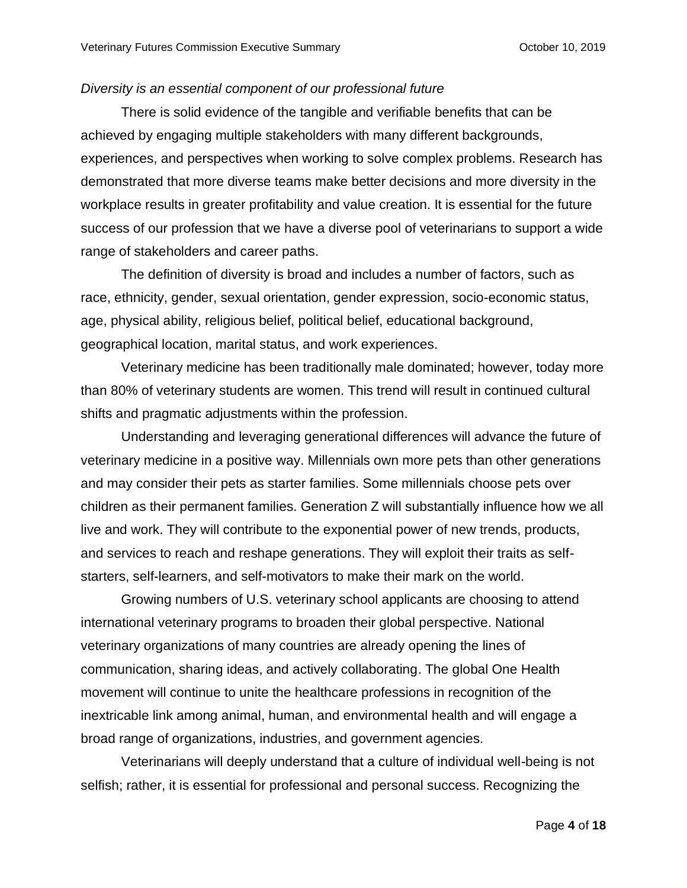#### *Diversity is an essential component of our professional future*

There is solid evidence of the tangible and verifiable benefits that can be achieved by engaging multiple stakeholders with many different backgrounds, experiences, and perspectives when working to solve complex problems. Research has demonstrated that more diverse teams make better decisions and more diversity in the workplace results in greater profitability and value creation. It is essential for the future success of our profession that we have a diverse pool of veterinarians to support a wide range of stakeholders and career paths.

The definition of diversity is broad and includes a number of factors, such as race, ethnicity, gender, sexual orientation, gender expression, socio-economic status, age, physical ability, religious belief, political belief, educational background, geographical location, marital status, and work experiences.

Veterinary medicine has been traditionally male dominated; however, today more than 80% of veterinary students are women. This trend will result in continued cultural shifts and pragmatic adjustments within the profession.

Understanding and leveraging generational differences will advance the future of veterinary medicine in a positive way. Millennials own more pets than other generations and may consider their pets as starter families. Some millennials choose pets over children as their permanent families. Generation Z will substantially influence how we all live and work. They will contribute to the exponential power of new trends, products, and services to reach and reshape generations. They will exploit their traits as selfstarters, self-learners, and self-motivators to make their mark on the world.

Growing numbers of U.S. veterinary school applicants are choosing to attend international veterinary programs to broaden their global perspective. National veterinary organizations of many countries are already opening the lines of communication, sharing ideas, and actively collaborating. The global One Health movement will continue to unite the healthcare professions in recognition of the inextricable link among animal, human, and environmental health and will engage a broad range of organizations, industries, and government agencies.

Veterinarians will deeply understand that a culture of individual well-being is not selfish; rather, it is essential for professional and personal success. Recognizing the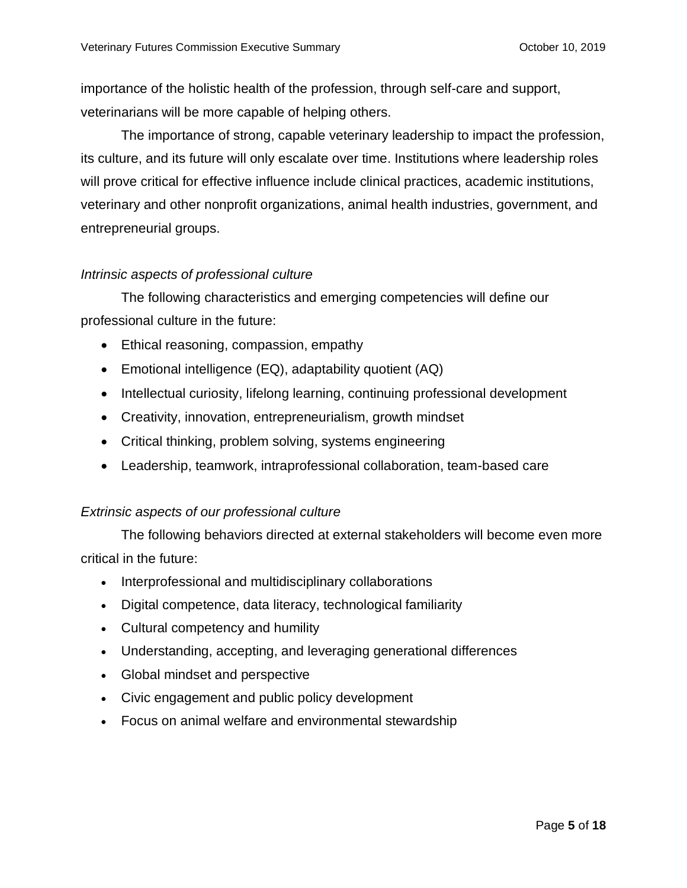importance of the holistic health of the profession, through self-care and support, veterinarians will be more capable of helping others.

The importance of strong, capable veterinary leadership to impact the profession, its culture, and its future will only escalate over time. Institutions where leadership roles will prove critical for effective influence include clinical practices, academic institutions, veterinary and other nonprofit organizations, animal health industries, government, and entrepreneurial groups.

### *Intrinsic aspects of professional culture*

The following characteristics and emerging competencies will define our professional culture in the future:

- Ethical reasoning, compassion, empathy
- Emotional intelligence (EQ), adaptability quotient (AQ)
- Intellectual curiosity, lifelong learning, continuing professional development
- Creativity, innovation, entrepreneurialism, growth mindset
- Critical thinking, problem solving, systems engineering
- Leadership, teamwork, intraprofessional collaboration, team-based care

### *Extrinsic aspects of our professional culture*

The following behaviors directed at external stakeholders will become even more critical in the future:

- Interprofessional and multidisciplinary collaborations
- Digital competence, data literacy, technological familiarity
- Cultural competency and humility
- Understanding, accepting, and leveraging generational differences
- Global mindset and perspective
- Civic engagement and public policy development
- Focus on animal welfare and environmental stewardship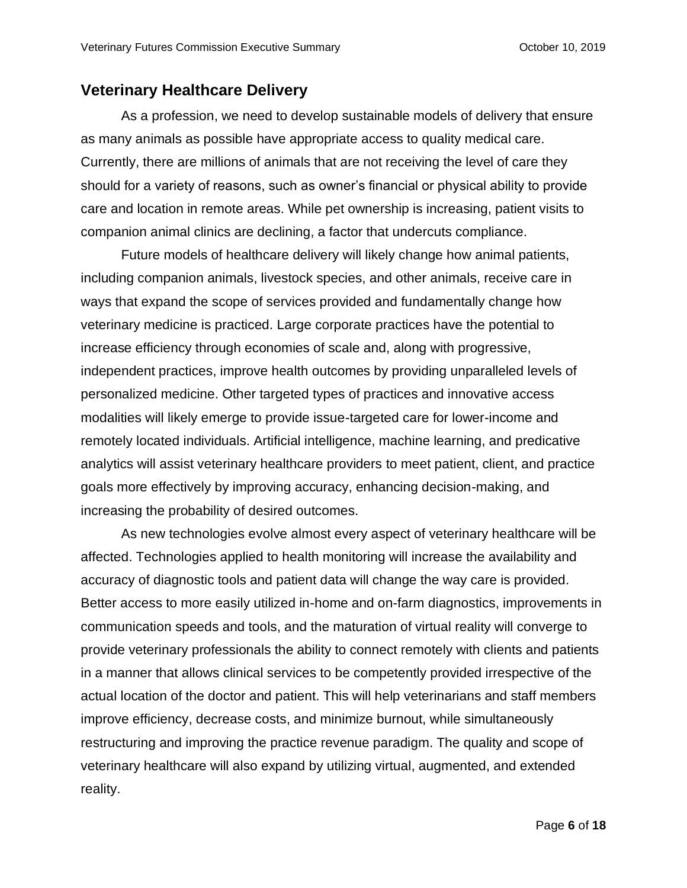### **Veterinary Healthcare Delivery**

As a profession, we need to develop sustainable models of delivery that ensure as many animals as possible have appropriate access to quality medical care. Currently, there are millions of animals that are not receiving the level of care they should for a variety of reasons, such as owner's financial or physical ability to provide care and location in remote areas. While pet ownership is increasing, patient visits to companion animal clinics are declining, a factor that undercuts compliance.

Future models of healthcare delivery will likely change how animal patients, including companion animals, livestock species, and other animals, receive care in ways that expand the scope of services provided and fundamentally change how veterinary medicine is practiced. Large corporate practices have the potential to increase efficiency through economies of scale and, along with progressive, independent practices, improve health outcomes by providing unparalleled levels of personalized medicine. Other targeted types of practices and innovative access modalities will likely emerge to provide issue-targeted care for lower-income and remotely located individuals. Artificial intelligence, machine learning, and predicative analytics will assist veterinary healthcare providers to meet patient, client, and practice goals more effectively by improving accuracy, enhancing decision-making, and increasing the probability of desired outcomes.

As new technologies evolve almost every aspect of veterinary healthcare will be affected. Technologies applied to health monitoring will increase the availability and accuracy of diagnostic tools and patient data will change the way care is provided. Better access to more easily utilized in-home and on-farm diagnostics, improvements in communication speeds and tools, and the maturation of virtual reality will converge to provide veterinary professionals the ability to connect remotely with clients and patients in a manner that allows clinical services to be competently provided irrespective of the actual location of the doctor and patient. This will help veterinarians and staff members improve efficiency, decrease costs, and minimize burnout, while simultaneously restructuring and improving the practice revenue paradigm. The quality and scope of veterinary healthcare will also expand by utilizing virtual, augmented, and extended reality.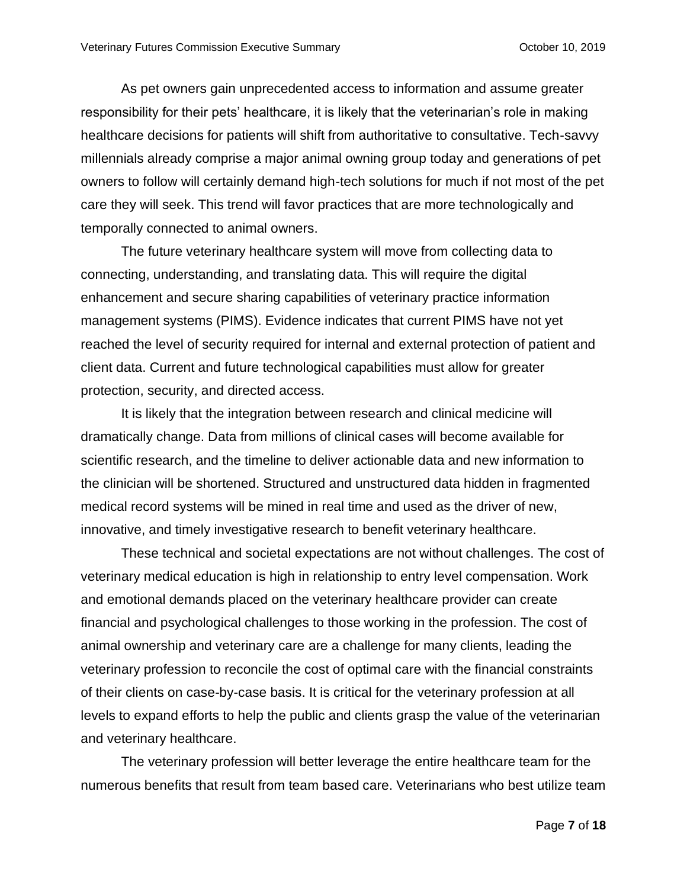As pet owners gain unprecedented access to information and assume greater responsibility for their pets' healthcare, it is likely that the veterinarian's role in making healthcare decisions for patients will shift from authoritative to consultative. Tech-savvy millennials already comprise a major animal owning group today and generations of pet owners to follow will certainly demand high-tech solutions for much if not most of the pet care they will seek. This trend will favor practices that are more technologically and temporally connected to animal owners.

The future veterinary healthcare system will move from collecting data to connecting, understanding, and translating data. This will require the digital enhancement and secure sharing capabilities of veterinary practice information management systems (PIMS). Evidence indicates that current PIMS have not yet reached the level of security required for internal and external protection of patient and client data. Current and future technological capabilities must allow for greater protection, security, and directed access.

It is likely that the integration between research and clinical medicine will dramatically change. Data from millions of clinical cases will become available for scientific research, and the timeline to deliver actionable data and new information to the clinician will be shortened. Structured and unstructured data hidden in fragmented medical record systems will be mined in real time and used as the driver of new, innovative, and timely investigative research to benefit veterinary healthcare.

These technical and societal expectations are not without challenges. The cost of veterinary medical education is high in relationship to entry level compensation. Work and emotional demands placed on the veterinary healthcare provider can create financial and psychological challenges to those working in the profession. The cost of animal ownership and veterinary care are a challenge for many clients, leading the veterinary profession to reconcile the cost of optimal care with the financial constraints of their clients on case-by-case basis. It is critical for the veterinary profession at all levels to expand efforts to help the public and clients grasp the value of the veterinarian and veterinary healthcare.

The veterinary profession will better leverage the entire healthcare team for the numerous benefits that result from team based care. Veterinarians who best utilize team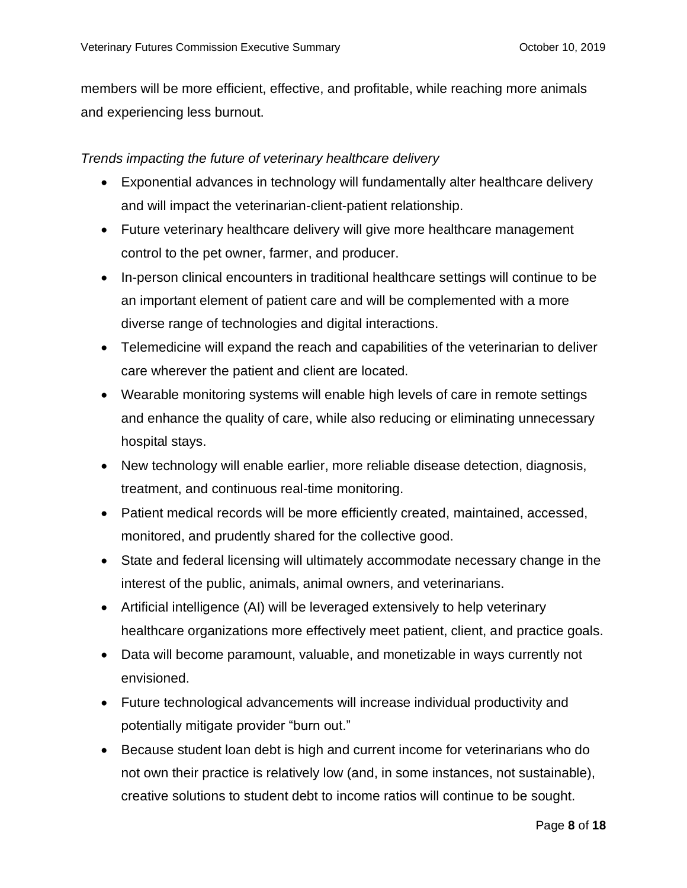members will be more efficient, effective, and profitable, while reaching more animals and experiencing less burnout.

### *Trends impacting the future of veterinary healthcare delivery*

- Exponential advances in technology will fundamentally alter healthcare delivery and will impact the veterinarian-client-patient relationship.
- Future veterinary healthcare delivery will give more healthcare management control to the pet owner, farmer, and producer.
- In-person clinical encounters in traditional healthcare settings will continue to be an important element of patient care and will be complemented with a more diverse range of technologies and digital interactions.
- Telemedicine will expand the reach and capabilities of the veterinarian to deliver care wherever the patient and client are located.
- Wearable monitoring systems will enable high levels of care in remote settings and enhance the quality of care, while also reducing or eliminating unnecessary hospital stays.
- New technology will enable earlier, more reliable disease detection, diagnosis, treatment, and continuous real-time monitoring.
- Patient medical records will be more efficiently created, maintained, accessed, monitored, and prudently shared for the collective good.
- State and federal licensing will ultimately accommodate necessary change in the interest of the public, animals, animal owners, and veterinarians.
- Artificial intelligence (AI) will be leveraged extensively to help veterinary healthcare organizations more effectively meet patient, client, and practice goals.
- Data will become paramount, valuable, and monetizable in ways currently not envisioned.
- Future technological advancements will increase individual productivity and potentially mitigate provider "burn out."
- Because student loan debt is high and current income for veterinarians who do not own their practice is relatively low (and, in some instances, not sustainable), creative solutions to student debt to income ratios will continue to be sought.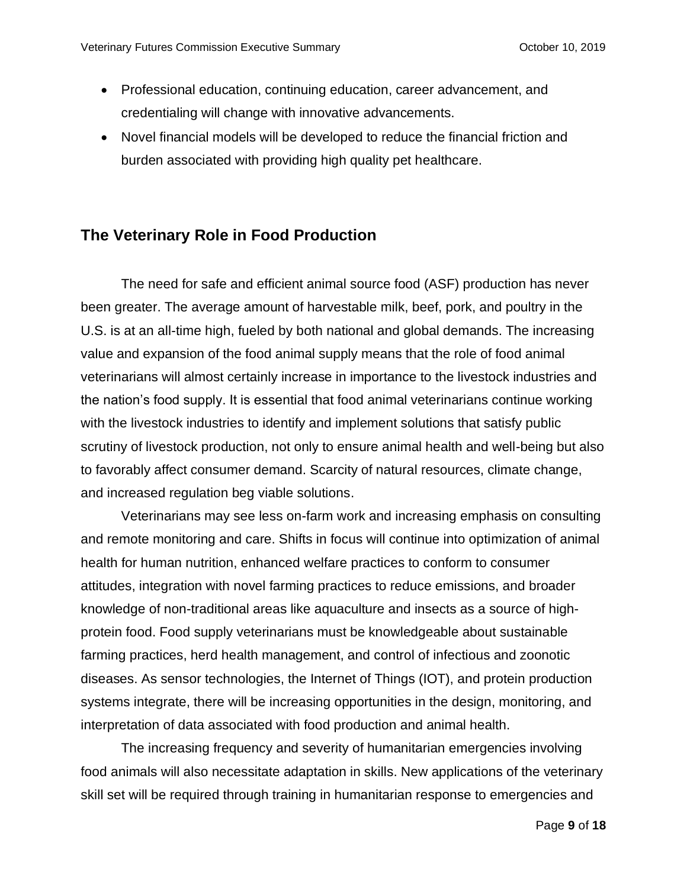- Professional education, continuing education, career advancement, and credentialing will change with innovative advancements.
- Novel financial models will be developed to reduce the financial friction and burden associated with providing high quality pet healthcare.

## **The Veterinary Role in Food Production**

The need for safe and efficient animal source food (ASF) production has never been greater. The average amount of harvestable milk, beef, pork, and poultry in the U.S. is at an all-time high, fueled by both national and global demands. The increasing value and expansion of the food animal supply means that the role of food animal veterinarians will almost certainly increase in importance to the livestock industries and the nation's food supply. It is essential that food animal veterinarians continue working with the livestock industries to identify and implement solutions that satisfy public scrutiny of livestock production, not only to ensure animal health and well-being but also to favorably affect consumer demand. Scarcity of natural resources, climate change, and increased regulation beg viable solutions.

Veterinarians may see less on-farm work and increasing emphasis on consulting and remote monitoring and care. Shifts in focus will continue into optimization of animal health for human nutrition, enhanced welfare practices to conform to consumer attitudes, integration with novel farming practices to reduce emissions, and broader knowledge of non-traditional areas like aquaculture and insects as a source of highprotein food. Food supply veterinarians must be knowledgeable about sustainable farming practices, herd health management, and control of infectious and zoonotic diseases. As sensor technologies, the Internet of Things (IOT), and protein production systems integrate, there will be increasing opportunities in the design, monitoring, and interpretation of data associated with food production and animal health.

The increasing frequency and severity of humanitarian emergencies involving food animals will also necessitate adaptation in skills. New applications of the veterinary skill set will be required through training in humanitarian response to emergencies and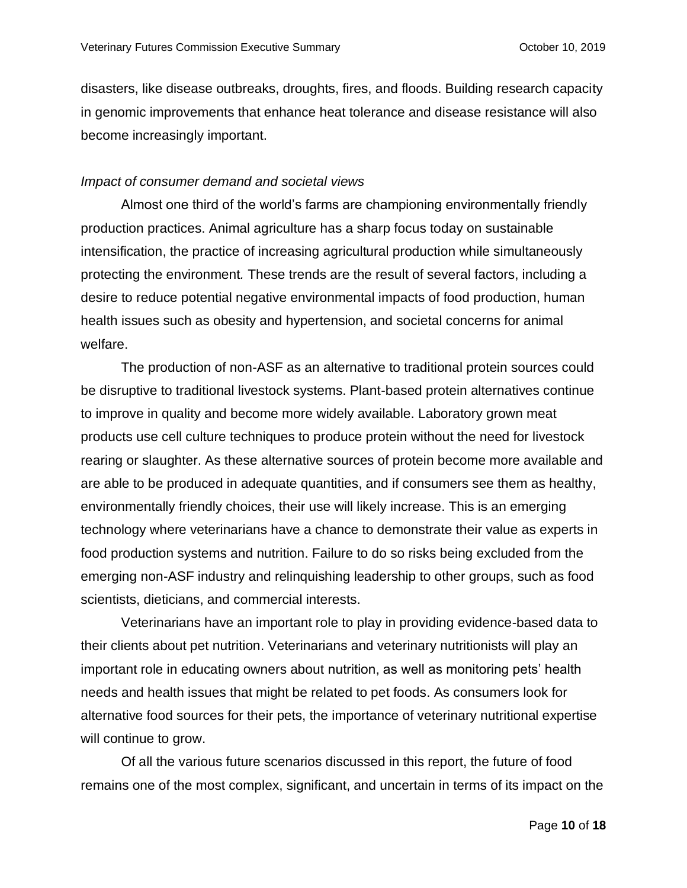disasters, like disease outbreaks, droughts, fires, and floods. Building research capacity in genomic improvements that enhance heat tolerance and disease resistance will also become increasingly important.

#### *Impact of consumer demand and societal views*

Almost one third of the world's farms are championing environmentally friendly production practices. Animal agriculture has a sharp focus today on sustainable intensification, the practice of increasing agricultural production while simultaneously protecting the environment*.* These trends are the result of several factors, including a desire to reduce potential negative environmental impacts of food production, human health issues such as obesity and hypertension, and societal concerns for animal welfare.

The production of non-ASF as an alternative to traditional protein sources could be disruptive to traditional livestock systems. Plant-based protein alternatives continue to improve in quality and become more widely available. Laboratory grown meat products use cell culture techniques to produce protein without the need for livestock rearing or slaughter. As these alternative sources of protein become more available and are able to be produced in adequate quantities, and if consumers see them as healthy, environmentally friendly choices, their use will likely increase. This is an emerging technology where veterinarians have a chance to demonstrate their value as experts in food production systems and nutrition. Failure to do so risks being excluded from the emerging non-ASF industry and relinquishing leadership to other groups, such as food scientists, dieticians, and commercial interests.

Veterinarians have an important role to play in providing evidence-based data to their clients about pet nutrition. Veterinarians and veterinary nutritionists will play an important role in educating owners about nutrition, as well as monitoring pets' health needs and health issues that might be related to pet foods. As consumers look for alternative food sources for their pets, the importance of veterinary nutritional expertise will continue to grow.

Of all the various future scenarios discussed in this report, the future of food remains one of the most complex, significant, and uncertain in terms of its impact on the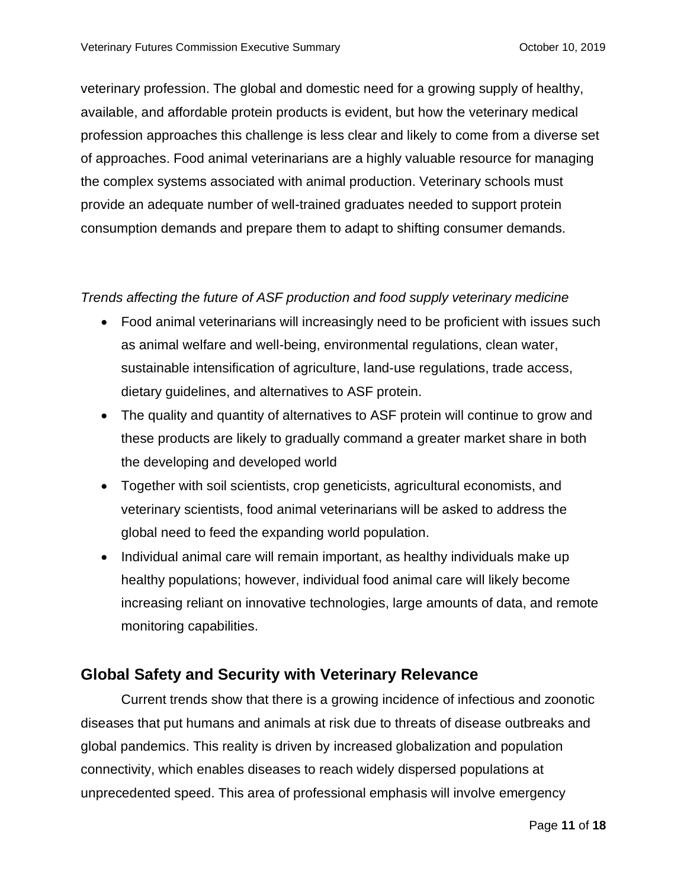veterinary profession. The global and domestic need for a growing supply of healthy, available, and affordable protein products is evident, but how the veterinary medical profession approaches this challenge is less clear and likely to come from a diverse set of approaches. Food animal veterinarians are a highly valuable resource for managing the complex systems associated with animal production. Veterinary schools must provide an adequate number of well-trained graduates needed to support protein consumption demands and prepare them to adapt to shifting consumer demands.

### *Trends affecting the future of ASF production and food supply veterinary medicine*

- Food animal veterinarians will increasingly need to be proficient with issues such as animal welfare and well-being, environmental regulations, clean water, sustainable intensification of agriculture, land-use regulations, trade access, dietary guidelines, and alternatives to ASF protein.
- The quality and quantity of alternatives to ASF protein will continue to grow and these products are likely to gradually command a greater market share in both the developing and developed world
- Together with soil scientists, crop geneticists, agricultural economists, and veterinary scientists, food animal veterinarians will be asked to address the global need to feed the expanding world population.
- Individual animal care will remain important, as healthy individuals make up healthy populations; however, individual food animal care will likely become increasing reliant on innovative technologies, large amounts of data, and remote monitoring capabilities.

# **Global Safety and Security with Veterinary Relevance**

Current trends show that there is a growing incidence of infectious and zoonotic diseases that put humans and animals at risk due to threats of disease outbreaks and global pandemics. This reality is driven by increased globalization and population connectivity, which enables diseases to reach widely dispersed populations at unprecedented speed. This area of professional emphasis will involve emergency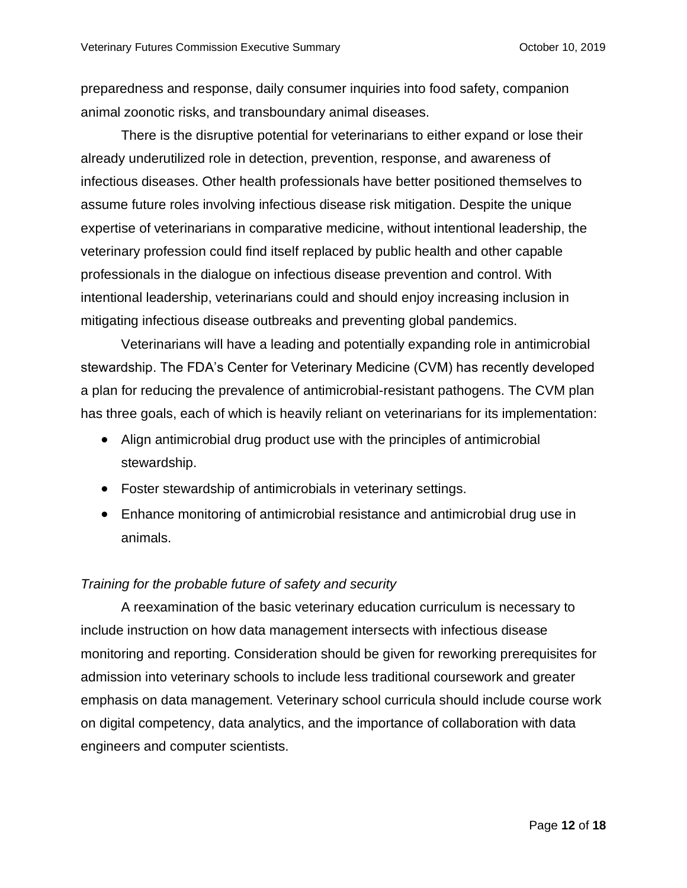preparedness and response, daily consumer inquiries into food safety, companion animal zoonotic risks, and transboundary animal diseases.

There is the disruptive potential for veterinarians to either expand or lose their already underutilized role in detection, prevention, response, and awareness of infectious diseases. Other health professionals have better positioned themselves to assume future roles involving infectious disease risk mitigation. Despite the unique expertise of veterinarians in comparative medicine, without intentional leadership, the veterinary profession could find itself replaced by public health and other capable professionals in the dialogue on infectious disease prevention and control. With intentional leadership, veterinarians could and should enjoy increasing inclusion in mitigating infectious disease outbreaks and preventing global pandemics.

Veterinarians will have a leading and potentially expanding role in antimicrobial stewardship. The FDA's Center for Veterinary Medicine (CVM) has recently developed a plan for reducing the prevalence of antimicrobial-resistant pathogens. The CVM plan has three goals, each of which is heavily reliant on veterinarians for its implementation:

- Align antimicrobial drug product use with the principles of antimicrobial stewardship.
- Foster stewardship of antimicrobials in veterinary settings.
- Enhance monitoring of antimicrobial resistance and antimicrobial drug use in animals.

#### *Training for the probable future of safety and security*

A reexamination of the basic veterinary education curriculum is necessary to include instruction on how data management intersects with infectious disease monitoring and reporting. Consideration should be given for reworking prerequisites for admission into veterinary schools to include less traditional coursework and greater emphasis on data management. Veterinary school curricula should include course work on digital competency, data analytics, and the importance of collaboration with data engineers and computer scientists.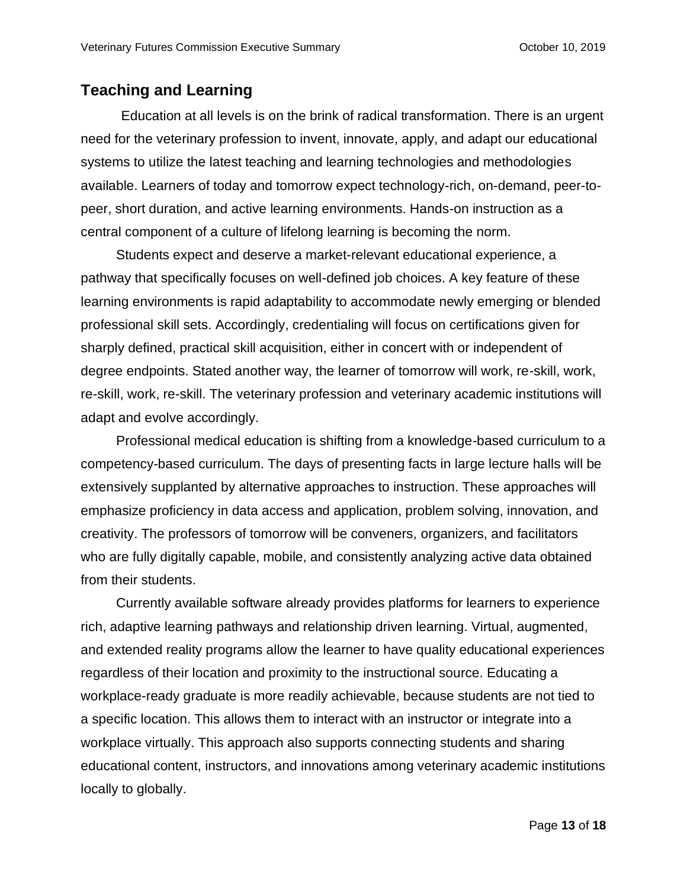# **Teaching and Learning**

Education at all levels is on the brink of radical transformation. There is an urgent need for the veterinary profession to invent, innovate, apply, and adapt our educational systems to utilize the latest teaching and learning technologies and methodologies available. Learners of today and tomorrow expect technology-rich, on-demand, peer-topeer, short duration, and active learning environments. Hands-on instruction as a central component of a culture of lifelong learning is becoming the norm.

Students expect and deserve a market-relevant educational experience, a pathway that specifically focuses on well-defined job choices. A key feature of these learning environments is rapid adaptability to accommodate newly emerging or blended professional skill sets. Accordingly, credentialing will focus on certifications given for sharply defined, practical skill acquisition, either in concert with or independent of degree endpoints. Stated another way, the learner of tomorrow will work, re-skill, work, re-skill, work, re-skill. The veterinary profession and veterinary academic institutions will adapt and evolve accordingly.

Professional medical education is shifting from a knowledge-based curriculum to a competency-based curriculum. The days of presenting facts in large lecture halls will be extensively supplanted by alternative approaches to instruction. These approaches will emphasize proficiency in data access and application, problem solving, innovation, and creativity. The professors of tomorrow will be conveners, organizers, and facilitators who are fully digitally capable, mobile, and consistently analyzing active data obtained from their students.

Currently available software already provides platforms for learners to experience rich, adaptive learning pathways and relationship driven learning. Virtual, augmented, and extended reality programs allow the learner to have quality educational experiences regardless of their location and proximity to the instructional source. Educating a workplace-ready graduate is more readily achievable, because students are not tied to a specific location. This allows them to interact with an instructor or integrate into a workplace virtually. This approach also supports connecting students and sharing educational content, instructors, and innovations among veterinary academic institutions locally to globally.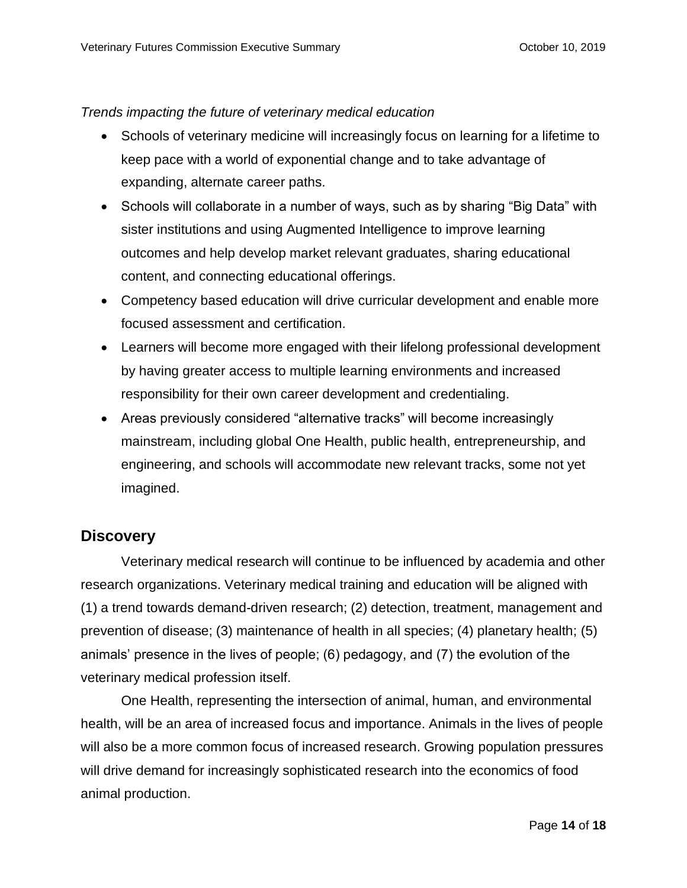#### *Trends impacting the future of veterinary medical education*

- Schools of veterinary medicine will increasingly focus on learning for a lifetime to keep pace with a world of exponential change and to take advantage of expanding, alternate career paths.
- Schools will collaborate in a number of ways, such as by sharing "Big Data" with sister institutions and using Augmented Intelligence to improve learning outcomes and help develop market relevant graduates, sharing educational content, and connecting educational offerings.
- Competency based education will drive curricular development and enable more focused assessment and certification.
- Learners will become more engaged with their lifelong professional development by having greater access to multiple learning environments and increased responsibility for their own career development and credentialing.
- Areas previously considered "alternative tracks" will become increasingly mainstream, including global One Health, public health, entrepreneurship, and engineering, and schools will accommodate new relevant tracks, some not yet imagined.

## **Discovery**

Veterinary medical research will continue to be influenced by academia and other research organizations. Veterinary medical training and education will be aligned with (1) a trend towards demand-driven research; (2) detection, treatment, management and prevention of disease; (3) maintenance of health in all species; (4) planetary health; (5) animals' presence in the lives of people; (6) pedagogy, and (7) the evolution of the veterinary medical profession itself.

One Health, representing the intersection of animal, human, and environmental health, will be an area of increased focus and importance. Animals in the lives of people will also be a more common focus of increased research. Growing population pressures will drive demand for increasingly sophisticated research into the economics of food animal production.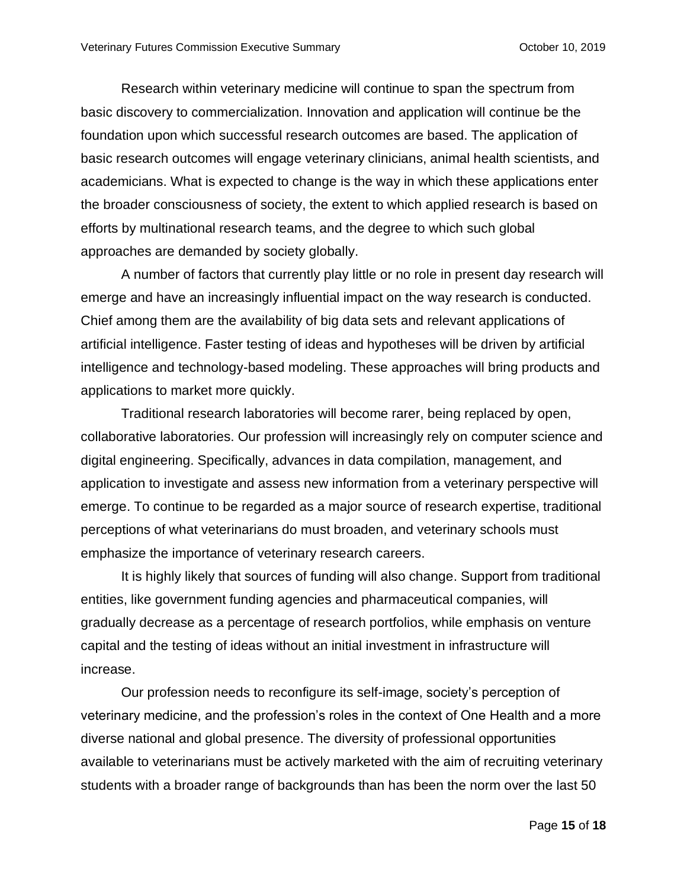Research within veterinary medicine will continue to span the spectrum from basic discovery to commercialization. Innovation and application will continue be the foundation upon which successful research outcomes are based. The application of basic research outcomes will engage veterinary clinicians, animal health scientists, and academicians. What is expected to change is the way in which these applications enter the broader consciousness of society, the extent to which applied research is based on efforts by multinational research teams, and the degree to which such global approaches are demanded by society globally.

A number of factors that currently play little or no role in present day research will emerge and have an increasingly influential impact on the way research is conducted. Chief among them are the availability of big data sets and relevant applications of artificial intelligence. Faster testing of ideas and hypotheses will be driven by artificial intelligence and technology-based modeling. These approaches will bring products and applications to market more quickly.

Traditional research laboratories will become rarer, being replaced by open, collaborative laboratories. Our profession will increasingly rely on computer science and digital engineering. Specifically, advances in data compilation, management, and application to investigate and assess new information from a veterinary perspective will emerge. To continue to be regarded as a major source of research expertise, traditional perceptions of what veterinarians do must broaden, and veterinary schools must emphasize the importance of veterinary research careers.

It is highly likely that sources of funding will also change. Support from traditional entities, like government funding agencies and pharmaceutical companies, will gradually decrease as a percentage of research portfolios, while emphasis on venture capital and the testing of ideas without an initial investment in infrastructure will increase.

Our profession needs to reconfigure its self-image, society's perception of veterinary medicine, and the profession's roles in the context of One Health and a more diverse national and global presence. The diversity of professional opportunities available to veterinarians must be actively marketed with the aim of recruiting veterinary students with a broader range of backgrounds than has been the norm over the last 50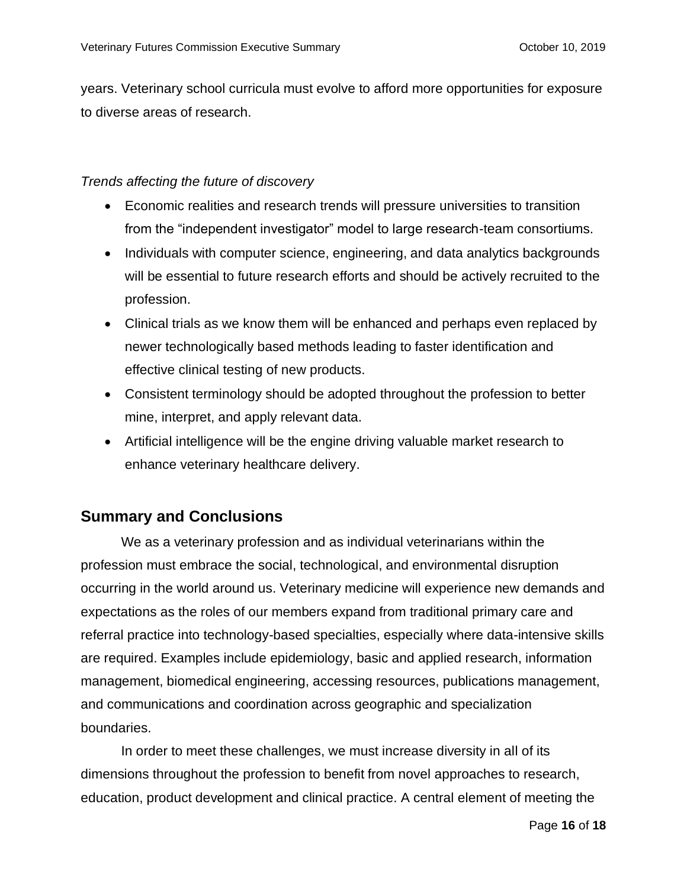years. Veterinary school curricula must evolve to afford more opportunities for exposure to diverse areas of research.

### *Trends affecting the future of discovery*

- Economic realities and research trends will pressure universities to transition from the "independent investigator" model to large research-team consortiums.
- Individuals with computer science, engineering, and data analytics backgrounds will be essential to future research efforts and should be actively recruited to the profession.
- Clinical trials as we know them will be enhanced and perhaps even replaced by newer technologically based methods leading to faster identification and effective clinical testing of new products.
- Consistent terminology should be adopted throughout the profession to better mine, interpret, and apply relevant data.
- Artificial intelligence will be the engine driving valuable market research to enhance veterinary healthcare delivery.

# **Summary and Conclusions**

We as a veterinary profession and as individual veterinarians within the profession must embrace the social, technological, and environmental disruption occurring in the world around us. Veterinary medicine will experience new demands and expectations as the roles of our members expand from traditional primary care and referral practice into technology-based specialties, especially where data-intensive skills are required. Examples include epidemiology, basic and applied research, information management, biomedical engineering, accessing resources, publications management, and communications and coordination across geographic and specialization boundaries.

In order to meet these challenges, we must increase diversity in all of its dimensions throughout the profession to benefit from novel approaches to research, education, product development and clinical practice. A central element of meeting the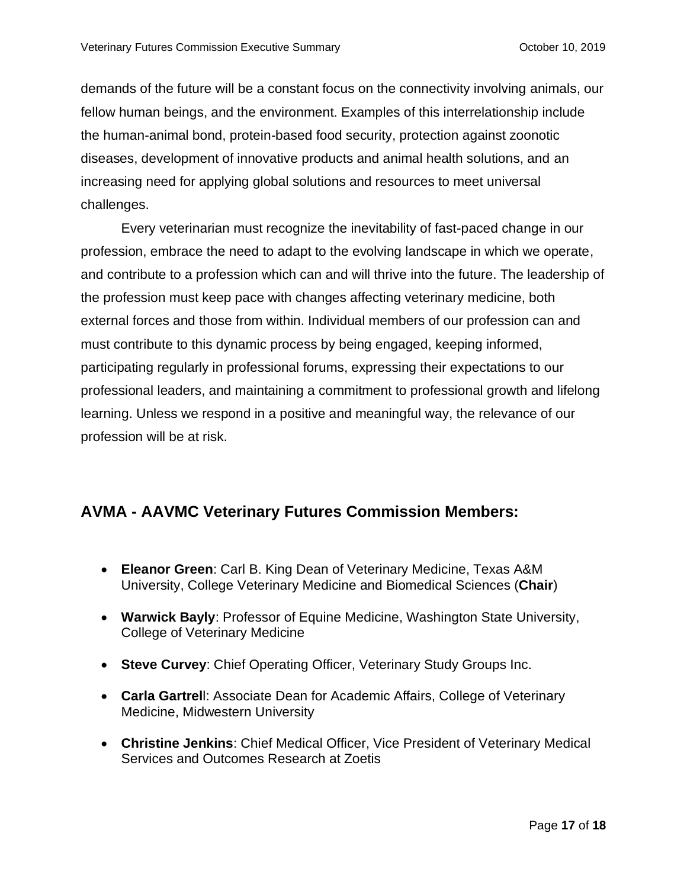demands of the future will be a constant focus on the connectivity involving animals, our fellow human beings, and the environment. Examples of this interrelationship include the human-animal bond, protein-based food security, protection against zoonotic diseases, development of innovative products and animal health solutions, and an increasing need for applying global solutions and resources to meet universal challenges.

Every veterinarian must recognize the inevitability of fast-paced change in our profession, embrace the need to adapt to the evolving landscape in which we operate, and contribute to a profession which can and will thrive into the future. The leadership of the profession must keep pace with changes affecting veterinary medicine, both external forces and those from within. Individual members of our profession can and must contribute to this dynamic process by being engaged, keeping informed, participating regularly in professional forums, expressing their expectations to our professional leaders, and maintaining a commitment to professional growth and lifelong learning. Unless we respond in a positive and meaningful way, the relevance of our profession will be at risk.

## **AVMA - AAVMC Veterinary Futures Commission Members:**

- **Eleanor Green**: Carl B. King Dean of Veterinary Medicine, Texas A&M University, College Veterinary Medicine and Biomedical Sciences (**Chair**)
- **Warwick Bayly**: Professor of Equine Medicine, Washington State University, College of Veterinary Medicine
- **Steve Curvey**: Chief Operating Officer, Veterinary Study Groups Inc.
- **Carla Gartrel**l: Associate Dean for Academic Affairs, College of Veterinary Medicine, Midwestern University
- **Christine Jenkins**: Chief Medical Officer, Vice President of Veterinary Medical Services and Outcomes Research at Zoetis